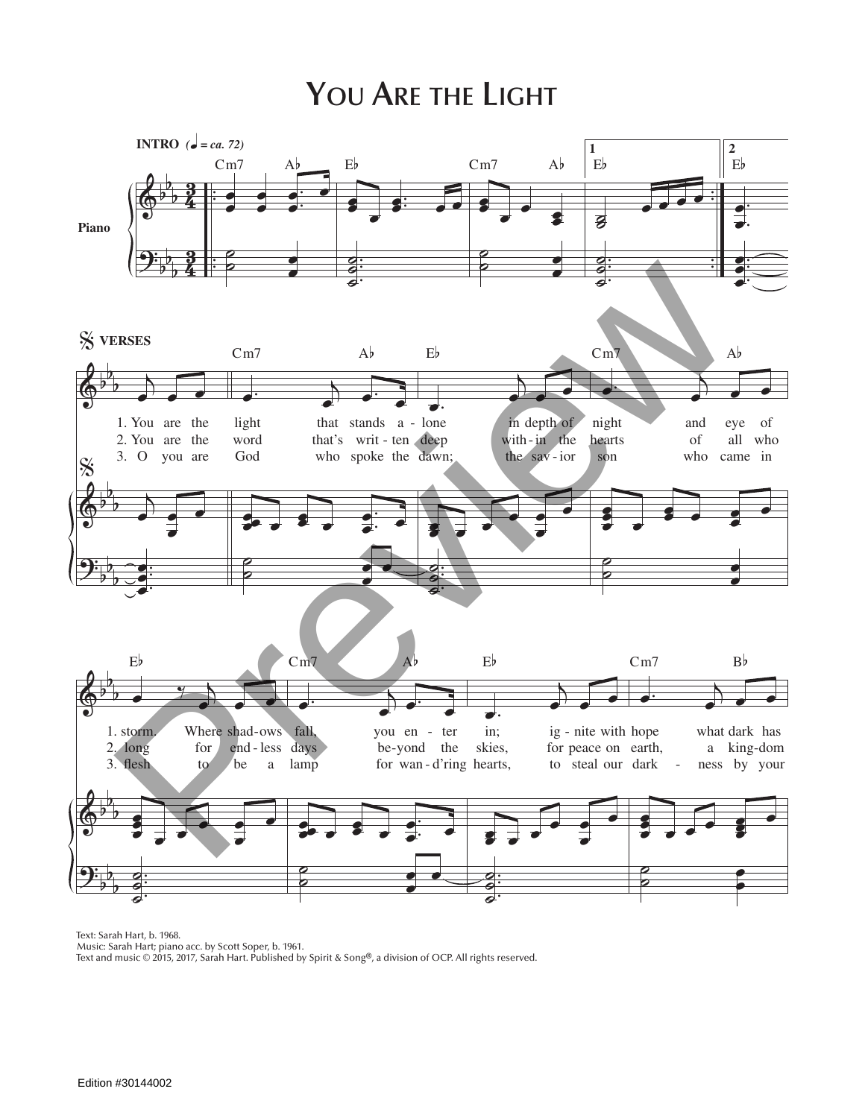## **You Are the Light**



Text: Sarah Hart, b. 1968.

Music: Sarah Hart; piano acc. by Scott Soper, b. 1961.

Text and music © 2015, 2017, Sarah Hart. Published by Spirit & Song®, a division of OCP. All rights reserved.